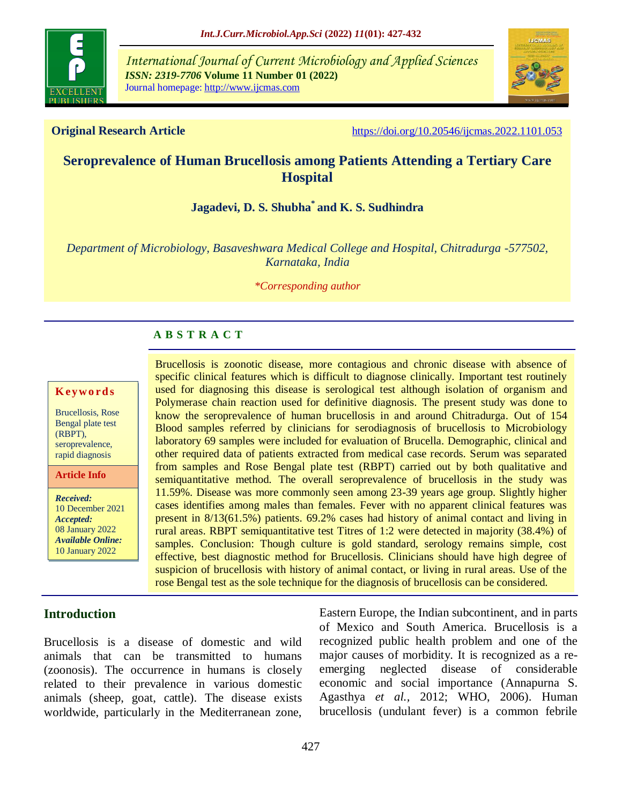

*International Journal of Current Microbiology and Applied Sciences ISSN: 2319-7706* **Volume 11 Number 01 (2022)**  Journal homepage: http://www.ijcmas.com



**Original Research Article** <https://doi.org/10.20546/ijcmas.2022.1101.053>

# **Seroprevalence of Human Brucellosis among Patients Attending a Tertiary Care Hospital**

# **Jagadevi, D. S. Shubha\* and K. S. Sudhindra**

*Department of Microbiology, Basaveshwara Medical College and Hospital, Chitradurga -577502, Karnataka, India*

*\*Corresponding author*

## **A B S T R A C T**

#### **K ey w o rd s**

Brucellosis, Rose Bengal plate test (RBPT), seroprevalence, rapid diagnosis

**Article Info**

*Received:*  10 December 2021 *Accepted:*  08 January 2022 *Available Online:* 10 January 2022

specific clinical features which is difficult to diagnose clinically. Important test routinely used for diagnosing this disease is serological test although isolation of organism and Polymerase chain reaction used for definitive diagnosis. The present study was done to know the seroprevalence of human brucellosis in and around Chitradurga. Out of 154 Blood samples referred by clinicians for serodiagnosis of brucellosis to Microbiology laboratory 69 samples were included for evaluation of Brucella. Demographic, clinical and other required data of patients extracted from medical case records. Serum was separated from samples and Rose Bengal plate test (RBPT) carried out by both qualitative and semiquantitative method. The overall seroprevalence of brucellosis in the study was 11.59%. Disease was more commonly seen among 23-39 years age group. Slightly higher cases identifies among males than females. Fever with no apparent clinical features was present in 8/13(61.5%) patients. 69.2% cases had history of animal contact and living in rural areas. RBPT semiquantitative test Titres of 1:2 were detected in majority (38.4%) of samples. Conclusion: Though culture is gold standard, serology remains simple, cost effective, best diagnostic method for Brucellosis. Clinicians should have high degree of suspicion of brucellosis with history of animal contact, or living in rural areas. Use of the rose Bengal test as the sole technique for the diagnosis of brucellosis can be considered.

Brucellosis is zoonotic disease, more contagious and chronic disease with absence of

## **Introduction**

Brucellosis is a disease of domestic and wild animals that can be transmitted to humans (zoonosis). The occurrence in humans is closely related to their prevalence in various domestic animals (sheep, goat, cattle). The disease exists worldwide, particularly in the Mediterranean zone,

Eastern Europe, the Indian subcontinent, and in parts of Mexico and South America. Brucellosis is a recognized public health problem and one of the major causes of morbidity. It is recognized as a reemerging neglected disease of considerable economic and social importance (Annapurna S. Agasthya *et al.,* 2012; WHO, 2006). Human brucellosis (undulant fever) is a common febrile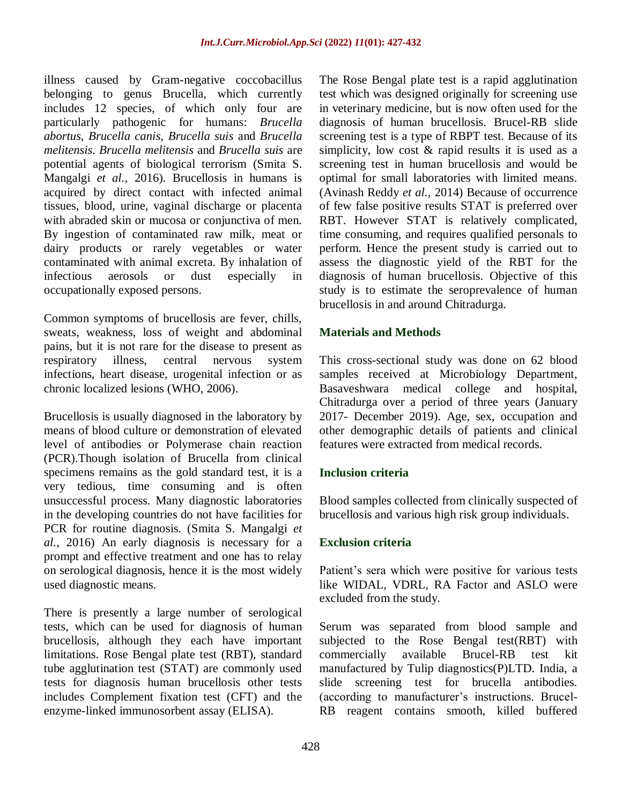illness caused by Gram-negative coccobacillus belonging to genus Brucella, which currently includes 12 species, of which only four are particularly pathogenic for humans: *Brucella abortus*, *Brucella canis*, *Brucella suis* and *Brucella melitensis*. *Brucella melitensis* and *Brucella suis* are potential agents of biological terrorism (Smita S. Mangalgi *et al.,* 2016). Brucellosis in humans is acquired by direct contact with infected animal tissues, blood, urine, vaginal discharge or placenta with abraded skin or mucosa or conjunctiva of men. By ingestion of contaminated raw milk, meat or dairy products or rarely vegetables or water contaminated with animal excreta. By inhalation of infectious aerosols or dust especially in occupationally exposed persons.

Common symptoms of brucellosis are fever, chills, sweats, weakness, loss of weight and abdominal pains, but it is not rare for the disease to present as respiratory illness, central nervous system infections, heart disease, urogenital infection or as chronic localized lesions (WHO, 2006).

Brucellosis is usually diagnosed in the laboratory by means of blood culture or demonstration of elevated level of antibodies or Polymerase chain reaction (PCR).Though isolation of Brucella from clinical specimens remains as the gold standard test, it is a very tedious, time consuming and is often unsuccessful process. Many diagnostic laboratories in the developing countries do not have facilities for PCR for routine diagnosis. (Smita S. Mangalgi *et al.,* 2016) An early diagnosis is necessary for a prompt and effective treatment and one has to relay on serological diagnosis, hence it is the most widely used diagnostic means.

There is presently a large number of serological tests, which can be used for diagnosis of human brucellosis, although they each have important limitations. Rose Bengal plate test (RBT), standard tube agglutination test (STAT) are commonly used tests for diagnosis human brucellosis other tests includes Complement fixation test (CFT) and the enzyme-linked immunosorbent assay (ELISA).

The Rose Bengal plate test is a rapid agglutination test which was designed originally for screening use in veterinary medicine, but is now often used for the diagnosis of human brucellosis. Brucel-RB slide screening test is a type of RBPT test. Because of its simplicity, low cost & rapid results it is used as a screening test in human brucellosis and would be optimal for small laboratories with limited means. (Avinash Reddy *et al.,* 2014) Because of occurrence of few false positive results STAT is preferred over RBT. However STAT is relatively complicated, time consuming, and requires qualified personals to perform. Hence the present study is carried out to assess the diagnostic yield of the RBT for the diagnosis of human brucellosis. Objective of this study is to estimate the seroprevalence of human brucellosis in and around Chitradurga.

## **Materials and Methods**

This cross-sectional study was done on 62 blood samples received at Microbiology Department, Basaveshwara medical college and hospital, Chitradurga over a period of three years (January 2017- December 2019). Age, sex, occupation and other demographic details of patients and clinical features were extracted from medical records.

## **Inclusion criteria**

Blood samples collected from clinically suspected of brucellosis and various high risk group individuals.

## **Exclusion criteria**

Patient's sera which were positive for various tests like WIDAL, VDRL, RA Factor and ASLO were excluded from the study.

Serum was separated from blood sample and subjected to the Rose Bengal test(RBT) with commercially available Brucel-RB test kit manufactured by Tulip diagnostics(P)LTD. India, a slide screening test for brucella antibodies. (according to manufacturer's instructions. Brucel-RB reagent contains smooth, killed buffered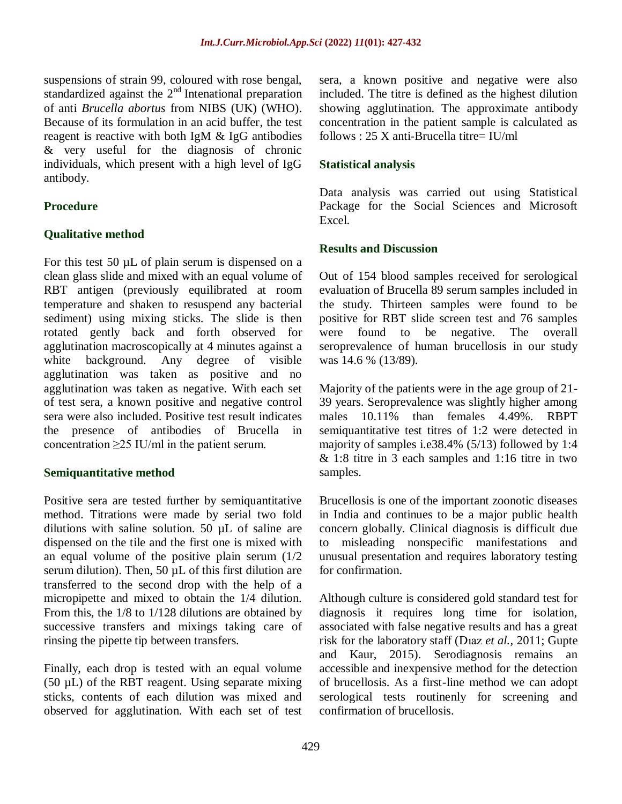suspensions of strain 99, coloured with rose bengal, standardized against the  $2<sup>nd</sup>$  Intenational preparation of anti *Brucella abortus* from NIBS (UK) (WHO). Because of its formulation in an acid buffer, the test reagent is reactive with both IgM & IgG antibodies & very useful for the diagnosis of chronic individuals, which present with a high level of IgG antibody.

## **Procedure**

## **Qualitative method**

For this test 50  $\mu$ L of plain serum is dispensed on a clean glass slide and mixed with an equal volume of RBT antigen (previously equilibrated at room temperature and shaken to resuspend any bacterial sediment) using mixing sticks. The slide is then rotated gently back and forth observed for agglutination macroscopically at 4 minutes against a white background. Any degree of visible agglutination was taken as positive and no agglutination was taken as negative. With each set of test sera, a known positive and negative control sera were also included. Positive test result indicates the presence of antibodies of Brucella in concentration  $\geq$ 25 IU/ml in the patient serum.

## **Semiquantitative method**

Positive sera are tested further by semiquantitative method. Titrations were made by serial two fold dilutions with saline solution. 50 µL of saline are dispensed on the tile and the first one is mixed with an equal volume of the positive plain serum (1/2 serum dilution). Then, 50 µL of this first dilution are transferred to the second drop with the help of a micropipette and mixed to obtain the 1/4 dilution. From this, the 1/8 to 1/128 dilutions are obtained by successive transfers and mixings taking care of rinsing the pipette tip between transfers.

Finally, each drop is tested with an equal volume (50 µL) of the RBT reagent. Using separate mixing sticks, contents of each dilution was mixed and observed for agglutination. With each set of test sera, a known positive and negative were also included. The titre is defined as the highest dilution showing agglutination. The approximate antibody concentration in the patient sample is calculated as follows :  $25 \text{ X anti-Brucella titre} = \text{H} \text{U} / \text{m} \text{I}$ 

## **Statistical analysis**

Data analysis was carried out using Statistical Package for the Social Sciences and Microsoft Excel.

## **Results and Discussion**

Out of 154 blood samples received for serological evaluation of Brucella 89 serum samples included in the study. Thirteen samples were found to be positive for RBT slide screen test and 76 samples were found to be negative. The overall seroprevalence of human brucellosis in our study was 14.6 % (13/89).

Majority of the patients were in the age group of 21- 39 years. Seroprevalence was slightly higher among males 10.11% than females 4.49%. RBPT semiquantitative test titres of 1:2 were detected in majority of samples i.e38.4% (5/13) followed by 1:4 & 1:8 titre in 3 each samples and 1:16 titre in two samples.

Brucellosis is one of the important zoonotic diseases in India and continues to be a major public health concern globally. Clinical diagnosis is difficult due to misleading nonspecific manifestations and unusual presentation and requires laboratory testing for confirmation.

Although culture is considered gold standard test for diagnosis it requires long time for isolation, associated with false negative results and has a great risk for the laboratory staff (Dıaz *et al.,* 2011; Gupte and Kaur, 2015). Serodiagnosis remains an accessible and inexpensive method for the detection of brucellosis. As a first-line method we can adopt serological tests routinenly for screening and confirmation of brucellosis.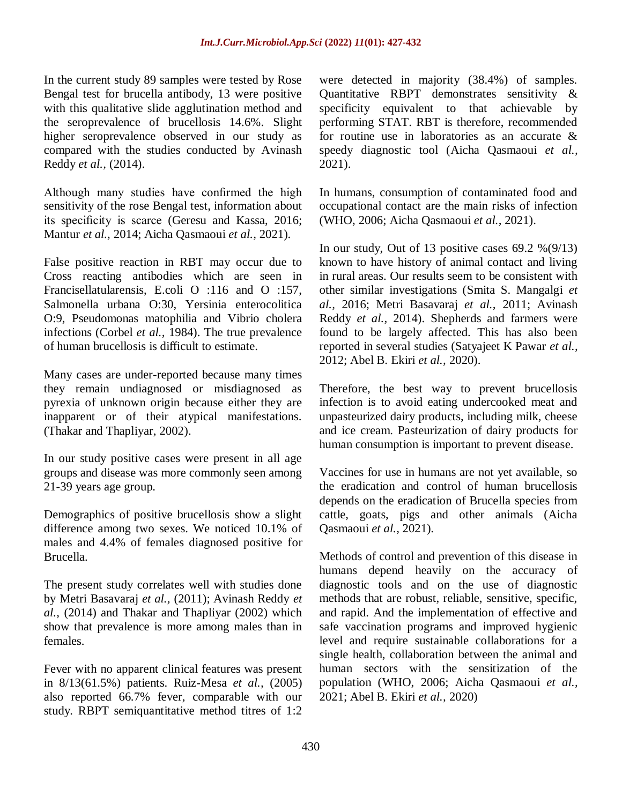In the current study 89 samples were tested by Rose Bengal test for brucella antibody, 13 were positive with this qualitative slide agglutination method and the seroprevalence of brucellosis 14.6%. Slight higher seroprevalence observed in our study as compared with the studies conducted by Avinash Reddy *et al.,* (2014).

Although many studies have confirmed the high sensitivity of the rose Bengal test, information about its specificity is scarce (Geresu and Kassa, 2016; Mantur *et al.,* 2014; Aicha Qasmaoui *et al.,* 2021).

False positive reaction in RBT may occur due to Cross reacting antibodies which are seen in Francisellatularensis, E.coli O :116 and O :157, Salmonella urbana O:30, Yersinia enterocolitica O:9, Pseudomonas matophilia and Vibrio cholera infections (Corbel *et al.,* 1984). The true prevalence of human brucellosis is difficult to estimate.

Many cases are under-reported because many times they remain undiagnosed or misdiagnosed as pyrexia of unknown origin because either they are inapparent or of their atypical manifestations. (Thakar and Thapliyar, 2002).

In our study positive cases were present in all age groups and disease was more commonly seen among 21-39 years age group.

Demographics of positive brucellosis show a slight difference among two sexes. We noticed 10.1% of males and 4.4% of females diagnosed positive for Brucella.

The present study correlates well with studies done by Metri Basavaraj *et al.,* (2011); Avinash Reddy *et al.,* (2014) and Thakar and Thapliyar (2002) which show that prevalence is more among males than in females.

Fever with no apparent clinical features was present in 8/13(61.5%) patients. Ruiz-Mesa *et al.,* (2005) also reported 66.7% fever, comparable with our study. RBPT semiquantitative method titres of 1:2 were detected in majority (38.4%) of samples. Quantitative RBPT demonstrates sensitivity & specificity equivalent to that achievable by performing STAT. RBT is therefore, recommended for routine use in laboratories as an accurate & speedy diagnostic tool (Aicha Qasmaoui *et al.,* 2021).

In humans, consumption of contaminated food and occupational contact are the main risks of infection (WHO, 2006; Aicha Qasmaoui *et al.,* 2021).

In our study, Out of 13 positive cases  $69.2\%$  $(9/13)$ known to have history of animal contact and living in rural areas. Our results seem to be consistent with other similar investigations (Smita S. Mangalgi *et al.,* 2016; Metri Basavaraj *et al.,* 2011; Avinash Reddy *et al.,* 2014). Shepherds and farmers were found to be largely affected. This has also been reported in several studies (Satyajeet K Pawar *et al.,* 2012; Abel B. Ekiri *et al.,* 2020).

Therefore, the best way to prevent brucellosis infection is to avoid eating undercooked meat and unpasteurized dairy products, including milk, cheese and ice cream. Pasteurization of dairy products for human consumption is important to prevent disease.

Vaccines for use in humans are not yet available, so the eradication and control of human brucellosis depends on the eradication of Brucella species from cattle, goats, pigs and other animals (Aicha Qasmaoui *et al.,* 2021).

Methods of control and prevention of this disease in humans depend heavily on the accuracy of diagnostic tools and on the use of diagnostic methods that are robust, reliable, sensitive, specific, and rapid. And the implementation of effective and safe vaccination programs and improved hygienic level and require sustainable collaborations for a single health, collaboration between the animal and human sectors with the sensitization of the population (WHO, 2006; Aicha Qasmaoui *et al.,* 2021; Abel B. Ekiri *et al.,* 2020)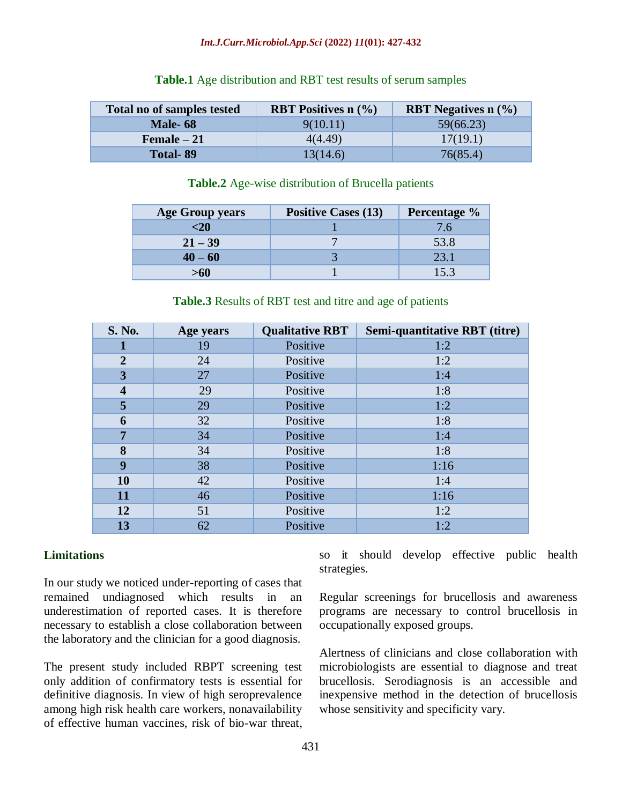#### *Int.J.Curr.Microbiol.App.Sci* **(2022)** *11***(01): 427-432**

| Total no of samples tested | <b>RBT</b> Positives $n$ (%) | <b>RBT</b> Negatives $n$ (%) |
|----------------------------|------------------------------|------------------------------|
| <b>Male-68</b>             | 9(10.11)                     | 59(66.23)                    |
| $Female-21$                | 4(4.49)                      | 17(19.1)                     |
| <b>Total-89</b>            | 13(14.6)                     | 76(85.4)                     |

#### **Table.1** Age distribution and RBT test results of serum samples

#### **Table.2** Age-wise distribution of Brucella patients

| <b>Age Group years</b> | <b>Positive Cases (13)</b> | Percentage %   |
|------------------------|----------------------------|----------------|
| $\leq 20$              |                            | $\overline{6}$ |
| $21 - 39$              |                            | 53.8           |
| $40 - 60$              |                            | 23.1           |
| >60                    |                            |                |

| <b>S. No.</b>           | Age years | <b>Qualitative RBT</b> | Semi-quantitative RBT (titre) |
|-------------------------|-----------|------------------------|-------------------------------|
|                         | 19        | Positive               | 1:2                           |
| $\overline{2}$          | 24        | Positive               | 1:2                           |
| $\overline{\mathbf{3}}$ | 27        | Positive               | 1:4                           |
| $\overline{\mathbf{4}}$ | 29        | Positive               | 1:8                           |
| 5                       | 29        | Positive               | 1:2                           |
| 6                       | 32        | Positive               | 1:8                           |
| 7                       | 34        | Positive               | 1:4                           |
| 8                       | 34        | Positive               | 1:8                           |
| 9                       | 38        | Positive               | 1:16                          |
| 10                      | 42        | Positive               | 1:4                           |
| 11                      | 46        | Positive               | 1:16                          |
| 12                      | 51        | Positive               | 1:2                           |
| 13                      | 62        | Positive               | 1:2                           |

#### **Table.3** Results of RBT test and titre and age of patients

#### **Limitations**

In our study we noticed under-reporting of cases that remained undiagnosed which results in an underestimation of reported cases. It is therefore necessary to establish a close collaboration between the laboratory and the clinician for a good diagnosis.

The present study included RBPT screening test only addition of confirmatory tests is essential for definitive diagnosis. In view of high seroprevalence among high risk health care workers, nonavailability of effective human vaccines, risk of bio-war threat, so it should develop effective public health strategies.

Regular screenings for brucellosis and awareness programs are necessary to control brucellosis in occupationally exposed groups.

Alertness of clinicians and close collaboration with microbiologists are essential to diagnose and treat brucellosis. Serodiagnosis is an accessible and inexpensive method in the detection of brucellosis whose sensitivity and specificity vary.